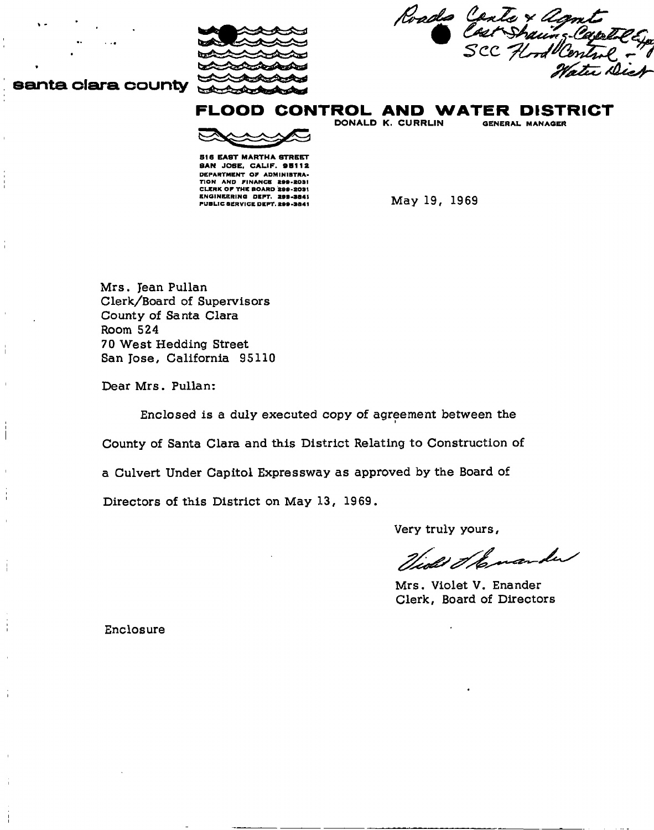

Roads Conte × agnt

# santa clara county

FLOOD CONTROL AND WATER DISTRICT

**516 EAST MARTHA STREET** SAN JOSE, CALIF. 95112 DEPARTMENT OF ADMINISTRA-TION AND FINANCE **299.2031**  CLERK O F THE BOARD **299-2031 ENGINEERING DEPT. 299-3841 May 19, 1969** 

DONALD K. CURRLIN

**Mrs. lean Pullan Clerk/Board of Supervisors County of Santa Clara Room 524 70 West Hedding Street San Jose, California 95110** 

**Dear Mrs. Pullan:** 

I

**Enclosed is a duly executed copy of agreement between the** 

**County of Santa Clara and this District Relating to Construction of** 

**a Culvert Under Capitol Expressway as approved by the Board of** 

**Directors of this District on May 13, 1969.** 

**Very truly yours,** 

Tides & komander

**Mrs. Violet V. Enander Clerk, Board of Directors** 

**Enclosure**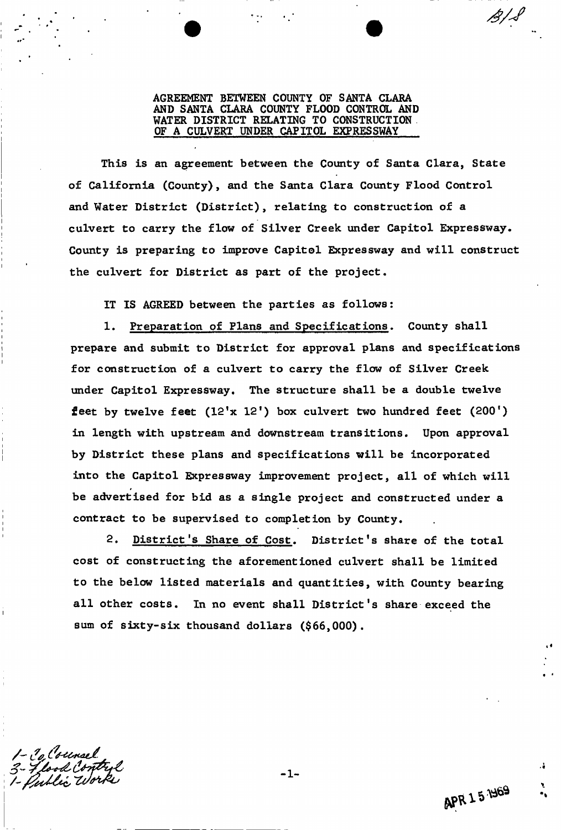AGREEMENT BETWEEN COUNTY OF SANTA CLARA AND SANTA CLARA COUNTY FLOOD CONTROL AND WATER DISTRICT RELATING TO CONSTRUCTION OF A CULVERT UNDER CAPITOL EXPRESSWAY

This is an agreement between the County of Santa Clara, State of California (County), and the Santa Clara County Flood Control and Water District (District), relating to construction of a culvert to carry the flow of Silver Creek under Capitol Expressway. County is preparing to improve Capitol Expressway and will construct the culvert for District as part of the project.

IT IS AGREED between the parties as follows:

1. Preparation of Plans and Specifications. County shall prepare and submit to District for approval plans and specifications for construction of a culvert to carry the flow of Silver Creek under Capitol Expressway. The structure shall be a double twelve feet by twelve feet  $(12'x 12')$  box culvert two hundred feet  $(200')$ in length with upstream and downstream transitions. Upon approval by District these plans and specifications will be incorporated into the Capitol Expressway improvement project, all of which will be advertised for bid as a single project and constructed under a contract to be supervised to completion by County.

2. District's Share of Cost. District's share of the total cost of constructing the aforementioned culvert shall be limited to the below listed materials and quantities, with County bearing all other costs. In no event shall District's share exceed the sum of sixty-six thousand dollars (\$66,000).

-1

*A/J*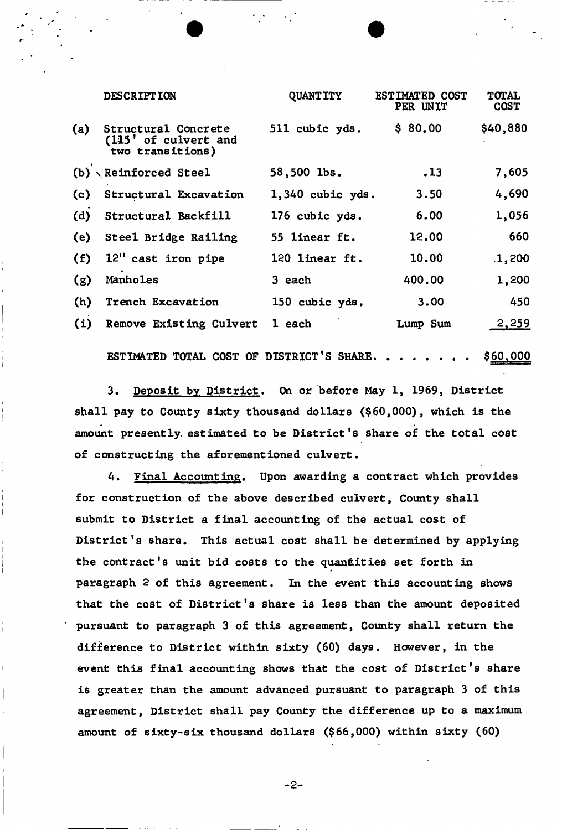|     | <b>DESCRIPTION</b>                                              | <b>QUANTITY</b>    | ESTIMATED COST<br><b>PER UNIT</b> | <b>TOTAL</b><br><b>COST</b> |
|-----|-----------------------------------------------------------------|--------------------|-----------------------------------|-----------------------------|
| (a) | Structural Concrete<br>(115' of culvert and<br>two transitions) | 511 cubic yds.     | \$80.00                           | \$40,880                    |
|     | $(b) \setminus$ Reinforced Steel                                | 58,500 lbs.        | .13                               | 7,605                       |
| (c) | Structural Excavation                                           | $1,340$ cubic yds. | 3.50                              | 4,690                       |
| (d) | Structural Backfill                                             | 176 cubic yds.     | 6.00                              | 1,056                       |
| (e) | Steel Bridge Railing                                            | 55 linear ft.      | 12.00                             | 660                         |
| (f) | 12" cast iron pipe                                              | 120 linear ft.     | 10.00                             | .1,200                      |
| (g) | Manholes                                                        | 3 each             | 400.00                            | 1,200                       |
| (h) | Trench Excavation                                               | 150 cubic yds.     | 3.00                              | 450                         |
| (i) | Remove Existing Culvert                                         | 1 each             | Lump Sum                          | 2,259                       |

ESTIMATED TOTAL COST OF DISTRICT'S SHARE.  $\cdot \cdot \cdot \cdot \cdot \cdot$  \$60,000

3. Deposit by District. On or before May 1, 1969, District shall pay to County sixty thousand dollars (\$60,000), which is the amount presently, estimated to be District's share of the total cost of constructing the aforementioned culvert.

4. Final Accounting. Upon awarding a contract which provides for construction of the above described culvert, County shall submit to District a final accounting of the actual cost of District's share. This actual cost shall be determined by applying the contract's unit bid costs to the quantities set forth in paragraph 2 of this agreement. In the event this accounting shows that the cost of District's share is less than the amount deposited pursuant to paragraph 3 of this agreement, County shall return the difference to District within sixty (60) days. However, in the event this final accounting shows that the cost of District's share is greater than the amount advanced pursuant to paragraph 3 of this agreement, District shall pay County the difference up to a maximum amount of sixty-six thousand dollars (\$66,000) within sixty (60)

-2-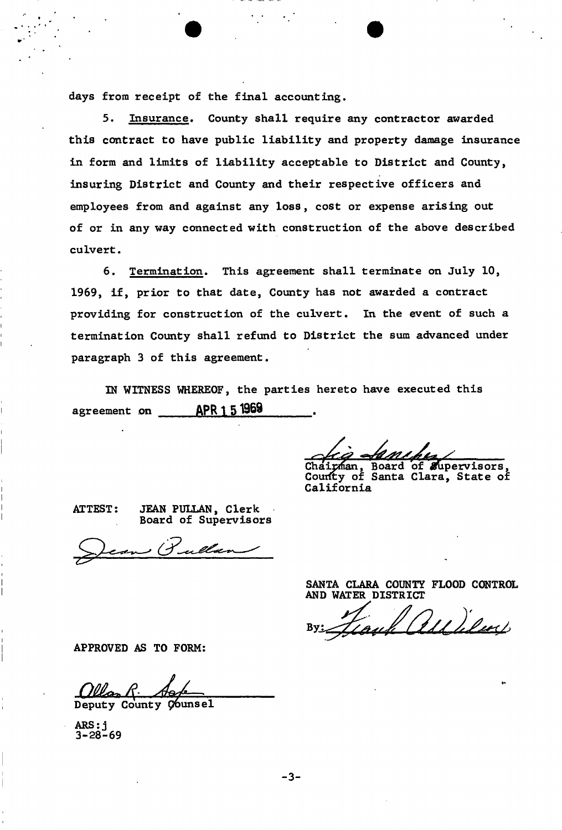days from receipt of the final accounting.

5. Insurance. County shall require any contractor awarded this contract to have public liability and property damage insurance in form and limits of liability acceptable to District and County, insuring District and County and their respective officers and employees from and against any loss, cost or expense arising out of or in any way connected with construction of the above described culvert.

6. Termination. This agreement shall terminate on July 10, 1969, if, prior to that date, County has not awarded a contract providing for construction of the culvert. In the event of such a termination County shall refund to District the sum advanced under paragraph 3 of this agreement.

IN WITNESS WHEREOF, the parties hereto have executed this agreement on APR 1 5 1969

Chairman, Board of Supervisors, Courfty of Santa Clara, State of California

ATTEST: JEAN PULLAN, Clerk

*75?* 

Board of Supervisors

SANTA CLARA COUNTY FLOOD CONTROL AND WATER DISTRICT

Il all iluce

APPROVED AS TO FORM:

Deputy County Counsel

ARS: j 3-28-69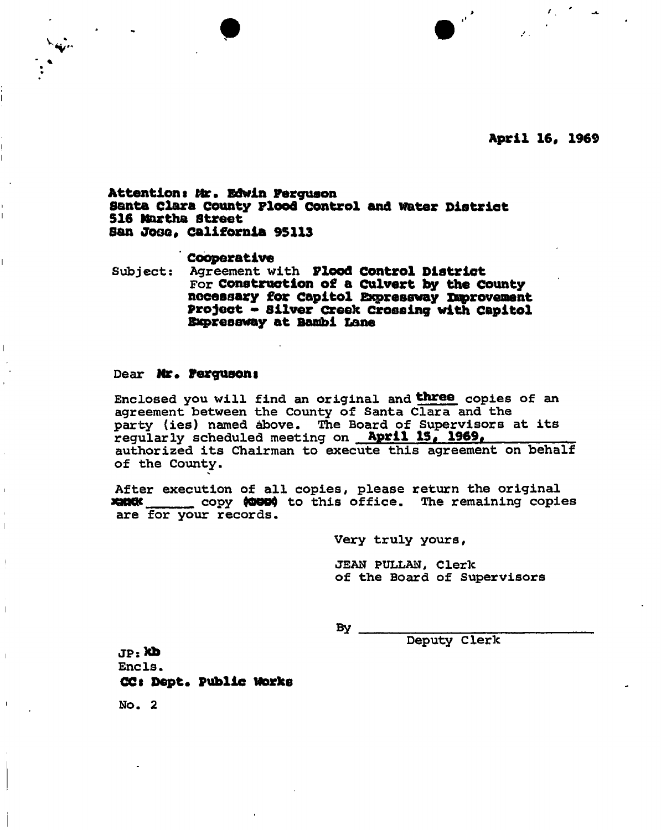**April 16, 1969** 

## **Attentiont Mr, Edwin Ferguson Santa Clara county Flood Control and water District 516 Martha street San JOgo, California 95113**

**Cooperative**<br>Subject: Agreement w **Subject: Agreement with Flood Control District For Construction of a Culvert by the County necessary for Capitol Expressway snprovenent Project - Silver creek Crossing with Capitol Expressway at Bantoi Lane** 

### **Dear Mr. Fergusons**

**Enclosed you will find an original and three copies of an agreement between the County of Santa Clara and the party (ies) named above. The Board of Supervisors at its**  regularly scheduled meeting on **April 15, 1969, authorized its Chairman to execute this agreement on behalf of the County.** 

**After execution of all copies, please return the original XHOO**<br /> **XHOO**<br /> **COPY (OOO)** to this office. The remaining copies **are for your records.** 

**Very truly yours,** 

**JEAN PULLAN, Cleric of the Board of Supervisors** 

**By** 

**Deputy Clerk** 

**JP:\*b Encls. CC« Dept. Public Works** 

**No. 2**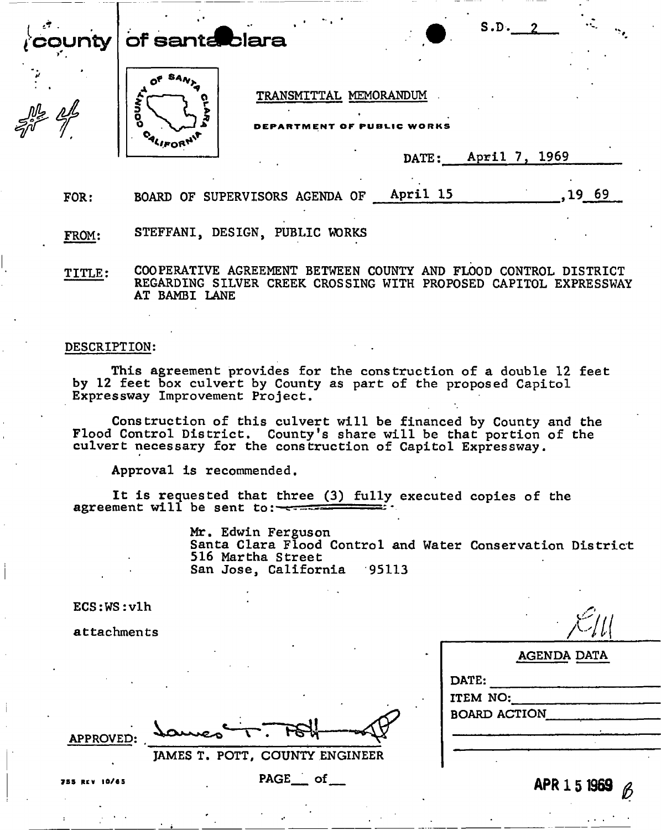of santa blara



TRANSMITTAL MEMORANDUM

BLIC WORKS

| Anril<br><b>DATE:</b> | . <i>I</i> | 1969 |  |
|-----------------------|------------|------|--|
|-----------------------|------------|------|--|

S.D.*<sup>Z</sup>*

FOR: BOARD OF SUPERVISORS AGENDA OF April 15 (1969)

FR0M: STEFFANI, DESIGN, PUBLIC WORKS

TITLE: COOPERATIVE AGREEMENT BETWEEN COUNTY AND FLOOD CONTROL DISTRICT REGARDING SILVER CREEK CROSSING WITH PROPOSED CAPITOL EXPRESSWAY AT BAMBI LANE

## **DESCRIPTION:**

This agreement provides for the construction of a double 12 feet by 12 feet box culvert by County as part of the proposed Capitol Expressway Improvement Project.

Construction of this culvert will be financed by County and the Flood Control District. County's share will be that portion of the culvert necessary for the construction of Capitol Expressway.

Approval is recommended.

It is requested that three (3) fully executed copies of the agreement will be sent to:

> Mr. Edwin Ferguson Santa Clara Flood Control and Water Conservation District 516 Martha Street San Jose, California 95113

ECS:WS:vlh

attachments

| AGENDA DATA                              |  |
|------------------------------------------|--|
| DATE:<br>ITEM NO:<br><b>BOARD ACTION</b> |  |
|                                          |  |
| APR 1 5 1969<br>$\beta$                  |  |
|                                          |  |

**APPROVED:** 

**JAMES T. POTT, COUNTY** 

7 5 5 RE V 10/6 5